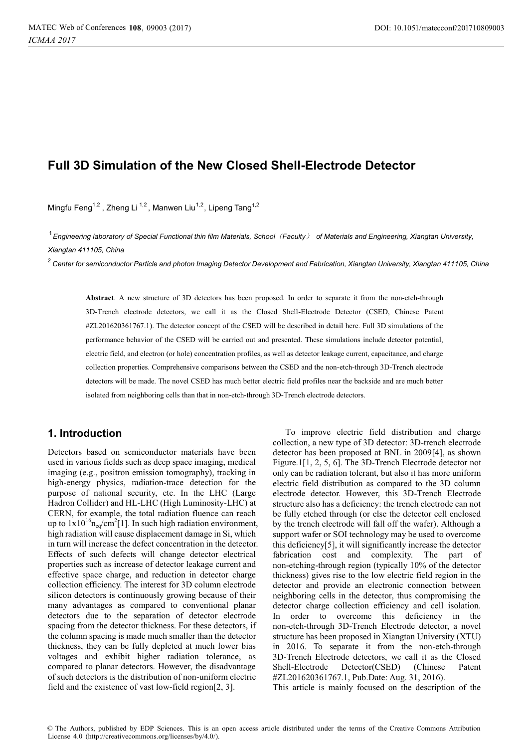# **Full 3D Simulation of the New Closed Shell-Electrode Detector**

Mingfu Feng<sup>1,2</sup>, Zheng Li<sup>1,2</sup>, Manwen Liu<sup>1,2</sup>, Lipeng Tang<sup>1,2</sup>

*Engineering laboratory of Special Functional thin film Materials, School*˄*Faculty*˅ *of Materials and Engineering, Xiangtan University,*  1 *Xiangtan 411105, China*

 $^2$  Center for semiconductor Particle and photon Imaging Detector Development and Fabrication, Xiangtan University, Xiangtan 411105, China

**Abstract**. A new structure of 3D detectors has been proposed. In order to separate it from the non-etch-through 3D-Trench electrode detectors, we call it as the Closed Shell-Electrode Detector (CSED, Chinese Patent #ZL201620361767.1). The detector concept of the CSED will be described in detail here. Full 3D simulations of the performance behavior of the CSED will be carried out and presented. These simulations include detector potential, electric field, and electron (or hole) concentration profiles, as well as detector leakage current, capacitance, and charge collection properties. Comprehensive comparisons between the CSED and the non-etch-through 3D-Trench electrode detectors will be made. The novel CSED has much better electric field profiles near the backside and are much better isolated from neighboring cells than that in non-etch-through 3D-Trench electrode detectors.

## **1. Introduction**

Detectors based on semiconductor materials have been used in various fields such as deep space imaging, medical imaging (e.g., positron emission tomography), tracking in high-energy physics, radiation-trace detection for the purpose of national security, etc. In the LHC (Large Hadron Collider) and HL-LHC (High Luminosity-LHC) at CERN, for example, the total radiation fluence can reach up to  $1x10^{16}$ n<sub>eq</sub>/cm<sup>2</sup>[1]. In such high radiation environment, high radiation will cause displacement damage in Si, which in turn will increase the defect concentration in the detector. Effects of such defects will change detector electrical properties such as increase of detector leakage current and effective space charge, and reduction in detector charge collection efficiency. The interest for 3D column electrode silicon detectors is continuously growing because of their many advantages as compared to conventional planar detectors due to the separation of detector electrode spacing from the detector thickness. For these detectors, if the column spacing is made much smaller than the detector thickness, they can be fully depleted at much lower bias voltages and exhibit higher radiation tolerance, as compared to planar detectors. However, the disadvantage of such detectors is the distribution of non-uniform electric field and the existence of vast low-field region[2, 3].

To improve electric field distribution and charge collection, a new type of 3D detector: 3D-trench electrode detector has been proposed at BNL in 2009[4], as shown Figure.1[1, 2, 5, 6]. The 3D-Trench Electrode detector not only can be radiation tolerant, but also it has more uniform electric field distribution as compared to the 3D column electrode detector. However, this 3D-Trench Electrode structure also has a deficiency: the trench electrode can not be fully etched through (or else the detector cell enclosed by the trench electrode will fall off the wafer). Although a support wafer or SOI technology may be used to overcome this deficiency[5], it will significantly increase the detector fabrication cost and complexity. The part of non-etching-through region (typically 10% of the detector thickness) gives rise to the low electric field region in the detector and provide an electronic connection between neighboring cells in the detector, thus compromising the detector charge collection efficiency and cell isolation. In order to overcome this deficiency in the non-etch-through 3D-Trench Electrode detector, a novel structure has been proposed in Xiangtan University (XTU) in 2016. To separate it from the non-etch-through 3D-Trench Electrode detectors, we call it as the Closed Shell-Electrode Detector(CSED) (Chinese Patent #ZL201620361767.1, Pub.Date: Aug. 31, 2016).

This article is mainly focused on the description of the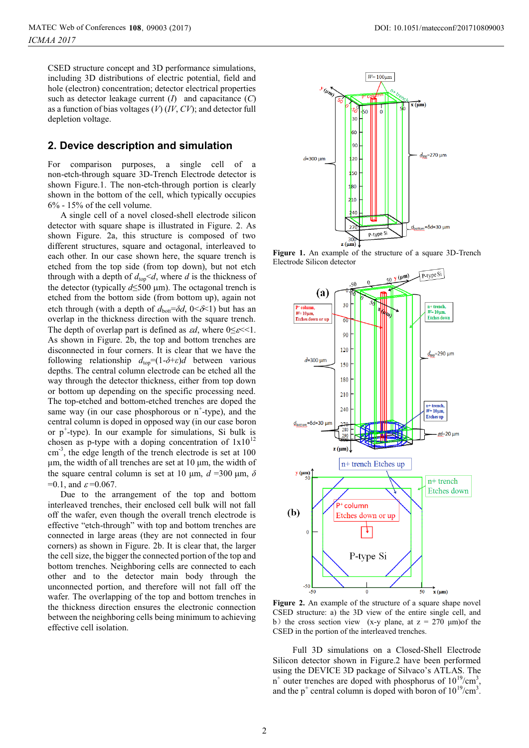CSED structure concept and 3D performance simulations, including 3D distributions of electric potential, field and hole (electron) concentration; detector electrical properties such as detector leakage current (*I*) and capacitance (*C*) as a function of bias voltages (*V*) (*IV*, *CV*); and detector full depletion voltage.

#### **2. Device description and simulation**

For comparison purposes, a single cell of a non-etch-through square 3D-Trench Electrode detector is shown Figure.1. The non-etch-through portion is clearly shown in the bottom of the cell, which typically occupies 6% - 15% of the cell volume.

A single cell of a novel closed-shell electrode silicon detector with square shape is illustrated in Figure. 2. As shown Figure. 2a, this structure is composed of two different structures, square and octagonal, interleaved to each other. In our case shown here, the square trench is etched from the top side (from top down), but not etch through with a depth of  $d_{\text{top}} < d$ , where *d* is the thickness of the detector (typically  $d \leq 500 \text{ }\mu\text{m}$ ). The octagonal trench is etched from the bottom side (from bottom up), again not etch through (with a depth of  $d_{\text{bot}} = \delta d$ ,  $0 \leq \delta \leq 1$ ) but has an overlap in the thickness direction with the square trench. The depth of overlap part is defined as  $\mathfrak{cd}$ , where  $0 \leq \mathfrak{c} \leq 1$ . As shown in Figure. 2b, the top and bottom trenches are disconnected in four corners. It is clear that we have the following relationship  $d_{top} = (1-\delta+\varepsilon)d$  between various depths. The central column electrode can be etched all the way through the detector thickness, either from top down or bottom up depending on the specific processing need. The top-etched and bottom-etched trenches are doped the same way (in our case phosphorous or  $n^+$ -type), and the central column is doped in opposed way (in our case boron or p<sup>+</sup> -type). In our example for simulations, Si bulk is chosen as p-type with a doping concentration of  $1x10^{12}$ cm<sup>-3</sup>, the edge length of the trench electrode is set at 100 μm, the width of all trenches are set at 10 μm, the width of the square central column is set at 10  $\mu$ m,  $d = 300 \mu$ m,  $\delta$  $=0.1$ , and  $\varepsilon = 0.067$ .

Due to the arrangement of the top and bottom interleaved trenches, their enclosed cell bulk will not fall off the wafer, even though the overall trench electrode is effective "etch-through" with top and bottom trenches are connected in large areas (they are not connected in four corners) as shown in Figure. 2b. It is clear that, the larger the cell size, the bigger the connected portion of the top and bottom trenches. Neighboring cells are connected to each other and to the detector main body through the unconnected portion, and therefore will not fall off the wafer. The overlapping of the top and bottom trenches in the thickness direction ensures the electronic connection between the neighboring cells being minimum to achieving effective cell isolation.



**Figure 1.** An example of the structure of a square 3D-Trench Electrode Silicon detector



**Figure 2.** An example of the structure of a square shape novel CSED structure: a) the 3D view of the entire single cell, and b) the cross section view (x-y plane, at  $z = 270 \text{ }\mu\text{m}$ ) of the CSED in the portion of the interleaved trenches.

Full 3D simulations on a Closed-Shell Electrode Silicon detector shown in Figure.2 have been performed using the DEVICE 3D package of Silvaco's ATLAS. The  $n^{+}$  outer trenches are doped with phosphorus of  $10^{19}$ /cm<sup>3</sup>, and the  $p^+$  central column is doped with boron of  $10^{19}$ /cm<sup>3</sup>.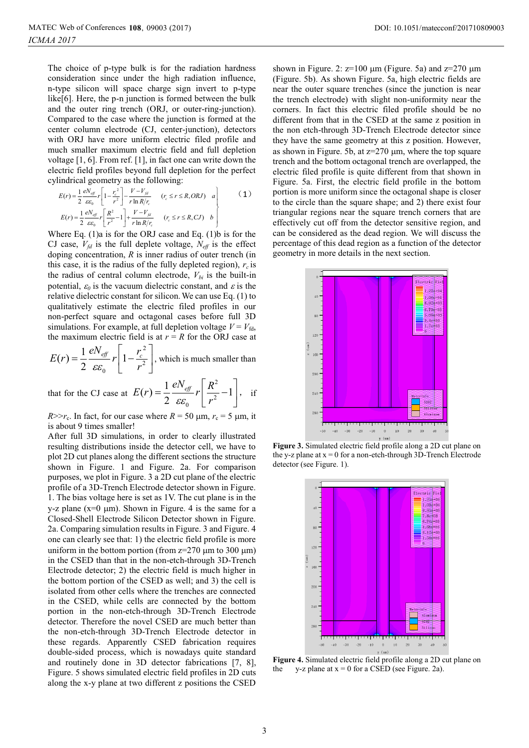The choice of p-type bulk is for the radiation hardness consideration since under the high radiation influence, n-type silicon will space charge sign invert to p-type like[6]. Here, the p-n junction is formed between the bulk and the outer ring trench (ORJ, or outer-ring-junction). Compared to the case where the junction is formed at the center column electrode (CJ, center-junction), detectors with ORJ have more uniform electric filed profile and much smaller maximum electric field and full depletion voltage [1, 6]. From ref. [1], in fact one can write down the electric field profiles beyond full depletion for the perfect cylindrical geometry as the following:

$$
E(r) = \frac{1}{2} \frac{eN_{\text{eff}}}{\varepsilon \varepsilon_0} r \left[ 1 - \frac{r_c^2}{r^2} \right] - \frac{V - V_{\text{fd}}}{r \ln R / r_c} \qquad (r_c \le r \le R, ORJ) \quad a
$$
  
\n
$$
E(r) = \frac{1}{2} \frac{eN_{\text{eff}}}{\varepsilon \varepsilon_0} r \left[ \frac{R^2}{r^2} - 1 \right] + \frac{V - V_{\text{fd}}}{r \ln R / r_c} \qquad (r_c \le r \le R, CL) \quad b
$$
 (1)

Where Eq. (1)a is for the ORJ case and Eq. (1)b is for the CJ case,  $V_{fd}$  is the full deplete voltage,  $N_{eff}$  is the effect doping concentration, *R* is inner radius of outer trench (in this case, it is the radius of the fully depleted region),  $r_c$  is the radius of central column electrode,  $V_{bi}$  is the built-in potential,  $\varepsilon_0$  is the vacuum dielectric constant, and  $\varepsilon$  is the relative dielectric constant for silicon. We can use Eq. (1) to qualitatively estimate the electric filed profiles in our non-perfect square and octagonal cases before full 3D simulations. For example, at full depletion voltage  $V = V_{\text{fd}}$ , the maximum electric field is at  $r = R$  for the ORJ case at

$$
E(r) = \frac{1}{2} \frac{eN_{\text{eff}}}{\varepsilon \varepsilon_0} r \left[ 1 - \frac{r_c^2}{r^2} \right],
$$
 which is much smaller than

that for the CJ case at 2 2  $E(r) = \frac{1}{2} \frac{eN_{\text{eff}}}{\varepsilon \varepsilon_0} r \left[ \frac{R^2}{r^2} - 1 \right]$  $\overline{\varepsilon \varepsilon_{0}}$   $\overline{r}$  $=\frac{1}{2}\frac{eN_{\text{eff}}}{r}\left[\frac{R^2}{r^2}-1\right]$  $\left|\frac{R}{r^2}-1\right|$ , if

 $R>>r_c$ . In fact, for our case where  $R=50 \mu m$ ,  $r_c=5 \mu m$ , it is about 9 times smaller!

After full 3D simulations, in order to clearly illustrated resulting distributions inside the detector cell, we have to plot 2D cut planes along the different sections the structure shown in Figure. 1 and Figure. 2a. For comparison purposes, we plot in Figure. 3 a 2D cut plane of the electric profile of a 3D-Trench Electrode detector shown in Figure. 1. The bias voltage here is set as 1V. The cut plane is in the y-z plane ( $x=0 \mu m$ ). Shown in Figure. 4 is the same for a Closed-Shell Electrode Silicon Detector shown in Figure. 2a. Comparing simulation results in Figure. 3 and Figure. 4 one can clearly see that: 1) the electric field profile is more uniform in the bottom portion (from  $z=270$  um to 300 um) in the CSED than that in the non-etch-through 3D-Trench Electrode detector; 2) the electric field is much higher in the bottom portion of the CSED as well; and 3) the cell is isolated from other cells where the trenches are connected in the CSED, while cells are connected by the bottom portion in the non-etch-through 3D-Trench Electrode detector. Therefore the novel CSED are much better than the non-etch-through 3D-Trench Electrode detector in these regards. Apparently CSED fabrication requires double-sided process, which is nowadays quite standard and routinely done in 3D detector fabrications [7, 8], Figure. 5 shows simulated electric field profiles in 2D cuts along the x-y plane at two different z positions the CSED

shown in Figure. 2:  $z=100 \mu m$  (Figure. 5a) and  $z=270 \mu m$ (Figure. 5b). As shown Figure. 5a, high electric fields are near the outer square trenches (since the junction is near the trench electrode) with slight non-uniformity near the corners. In fact this electric filed profile should be no different from that in the CSED at the same z position in the non etch-through 3D-Trench Electrode detector since they have the same geometry at this z position. However, as shown in Figure. 5b, at  $z=270 \mu m$ , where the top square trench and the bottom octagonal trench are overlapped, the electric filed profile is quite different from that shown in Figure. 5a. First, the electric field profile in the bottom portion is more uniform since the octagonal shape is closer to the circle than the square shape; and 2) there exist four triangular regions near the square trench corners that are effectively cut off from the detector sensitive region, and can be considered as the dead region. We will discuss the percentage of this dead region as a function of the detector geometry in more details in the next section.



**Figure 3.** Simulated electric field profile along a 2D cut plane on the y-z plane at  $x = 0$  for a non-etch-through 3D-Trench Electrode detector (see Figure. 1).



**Figure 4.** Simulated electric field profile along a 2D cut plane on the  $v-z$  plane at  $x = 0$  for a CSED (see Figure 2a) y-z plane at  $x = 0$  for a CSED (see Figure. 2a).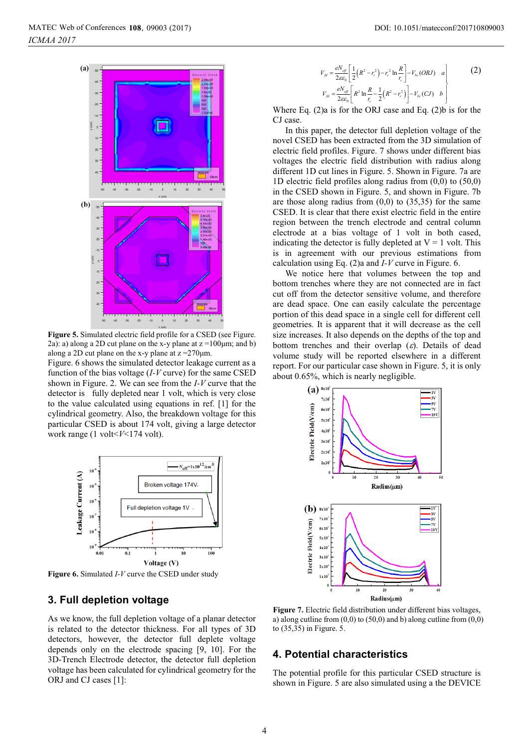

**Figure 5.** Simulated electric field profile for a CSED (see Figure. 2a): a) along a 2D cut plane on the x-y plane at  $z = 100 \mu m$ ; and b) along a 2D cut plane on the x-y plane at  $z = 270 \mu m$ .

Figure. 6 shows the simulated detector leakage current as a function of the bias voltage (*I-V* curve) for the same CSED shown in Figure. 2. We can see from the *I-V* curve that the detector is fully depleted near 1 volt, which is very close to the value calculated using equations in ref. [1] for the cylindrical geometry. Also, the breakdown voltage for this particular CSED is about 174 volt, giving a large detector work range (1 volt<*V*<174 volt).



**Figure 6.** Simulated *I-V* curve the CSED under study

## **3. Full depletion voltage**

As we know, the full depletion voltage of a planar detector is related to the detector thickness. For all types of 3D detectors, however, the detector full deplete voltage depends only on the electrode spacing [9, 10]. For the 3D-Trench Electrode detector, the detector full depletion voltage has been calculated for cylindrical geometry for the ORJ and CJ cases [1]:

$$
V_{\beta l} = \frac{eN_{\text{eff}}}{2\varepsilon\varepsilon_{0}} \left[ \frac{1}{2} (R^{2} - r_{c}^{2}) - r_{c}^{2} \ln \frac{R}{r_{c}} \right] - V_{h} (ORJ) \quad a
$$
  

$$
V_{\beta l} = \frac{eN_{\text{eff}}}{2\varepsilon\varepsilon_{0}} \left[ R^{2} \ln \frac{R}{r_{c}} - \frac{1}{2} (R^{2} - r_{c}^{2}) \right] - V_{h} (CJ) \quad b
$$
 (2)

Where Eq. (2)a is for the ORJ case and Eq. (2)b is for the CJ case.

In this paper, the detector full depletion voltage of the novel CSED has been extracted from the 3D simulation of electric field profiles. Figure. 7 shows under different bias voltages the electric field distribution with radius along different 1D cut lines in Figure. 5. Shown in Figure. 7a are 1D electric field profiles along radius from (0,0) to (50,0) in the CSED shown in Figure. 5, and shown in Figure. 7b are those along radius from  $(0,0)$  to  $(35,35)$  for the same CSED. It is clear that there exist electric field in the entire region between the trench electrode and central column electrode at a bias voltage of 1 volt in both cased, indicating the detector is fully depleted at  $V = 1$  volt. This is in agreement with our previous estimations from calculation using Eq. (2)a and *I-V* curve in Figure. 6.

We notice here that volumes between the top and bottom trenches where they are not connected are in fact cut off from the detector sensitive volume, and therefore are dead space. One can easily calculate the percentage portion of this dead space in a single cell for different cell geometries. It is apparent that it will decrease as the cell size increases. It also depends on the depths of the top and bottom trenches and their overlap  $(\varepsilon)$ . Details of dead volume study will be reported elsewhere in a different report. For our particular case shown in Figure. 5, it is only about 0.65%, which is nearly negligible.



**Figure 7.** Electric field distribution under different bias voltages, a) along cutline from  $(0,0)$  to  $(50,0)$  and b) along cutline from  $(0,0)$ to (35,35) in Figure. 5.

## **4. Potential characteristics**

The potential profile for this particular CSED structure is shown in Figure. 5 are also simulated using a the DEVICE